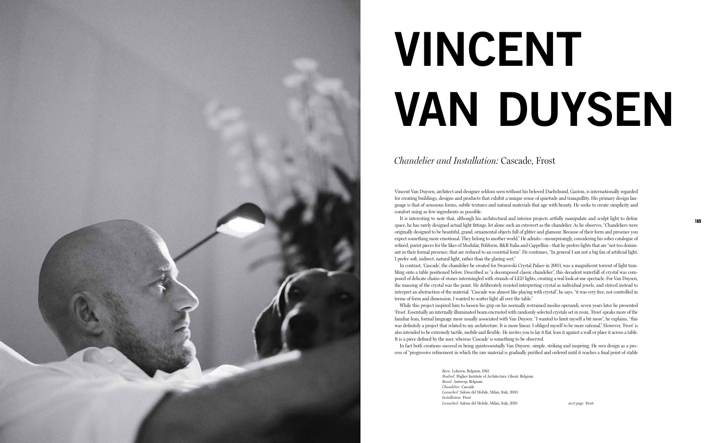*Born:* Lokeren, Belgium, 1962 *Studied:* Higher Institute of Architecture, Ghent, Belgium *Based:* Antwerp, Belgium *Chandelier:* Cascade *Launched:* Salone del Mobile, Milan, Italy, 2003 *Installation:* Frost *Launched:* Salone del Mobile, Milan, Italy, 2010



# **VINCENT VAN DUYSEN**

Vincent Van Duysen, architect and designer seldom seen without his beloved Dachshund, Gaston, is internationally regarded for creating buildings, designs and products that exhibit a unique sense of quietude and tranquillity. His primary design lan guage is that of sensuous forms, subtle textures and natural materials that age with beauty. He seeks to create simplicity and comfort using as few ingredients as possible.

It is interesting to note that, although his architectural and interior projects artfully manipulate and sculpt light to define space, he has rarely designed actual light fittings, let alone such an extrovert as the chandelier. As he observes, "Chandeliers were originally designed to be beautiful, grand, ornamental objects full of glitter and glamour. Because of their form and presence you expect something more emotional. They belong to another world." He admits—unsurprisingly, considering his sober catalogue of refined, purist pieces for the likes of Modular, Poliform, B&B Italia and Cappellini—that he prefers lights that are "not too dominant in their formal presence, that are reduced to an essential form". He continues, "In general I am not a big fan of artificial light. I prefer soft, indirect, natural light, rather than the glaring sort."

In contrast, 'Cascade', the chandelier he created for Swarovski Crystal Palace in 2003, was a magnificent torrent of light tum bling onto a table positioned below. Described as "a decomposed classic chandelier", this decadent waterfall of crystal was com posed of delicate chains of stones intermingled with strands of LED lights, creating a real look-at-me spectacle. For Van Duysen, the massing of the crystal was the point. He deliberately resisted interpreting crystal as individual jewels, and strived instead to interpret an abstraction of the material. "Cascade was almost like playing with crystal", he says, "it was very free, not controlled in terms of form and dimension. I wanted to scatter light all over the table."

While this project inspired him to loosen his grip on his normally restrained modus operandi, seven years later he presented 'Frost'. Essentially an internally illuminated beam encrusted with randomly selected crystals set in resin, 'Frost' speaks more of the familiar lean, formal language more usually associated with Van Duysen. "I wanted to limit myself a bit more", he explains, "this was definitely a project that related to my architecture. It is more linear. I obliged myself to be more rational." However, 'Frost' is also intended to be extremely tactile, mobile and flexible. He invites you to lay it flat, lean it against a wall or place it across a table. It is a piece defined by the user, whereas 'Cascade' is something to be observed.

In fact both creations succeed in being quintessentially Van Duysen: simple, striking and inspiring. He sees design as a pro cess of "progressive refinement in which the raw material is gradually purified and ordered until it reaches a final point of stable

# *Chandelier and Installation:* Cascade, Frost

*next page:* Frost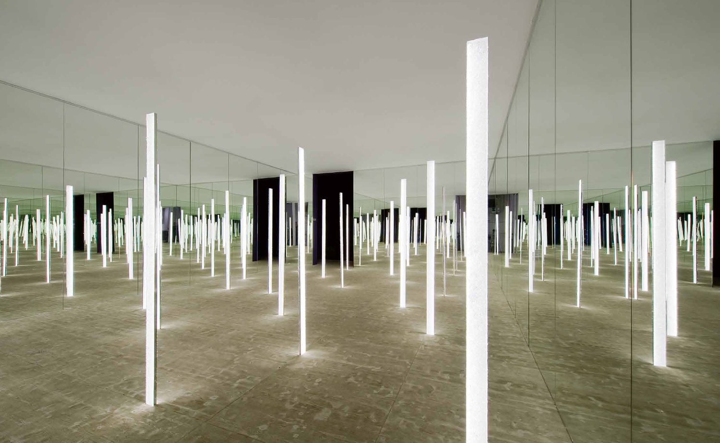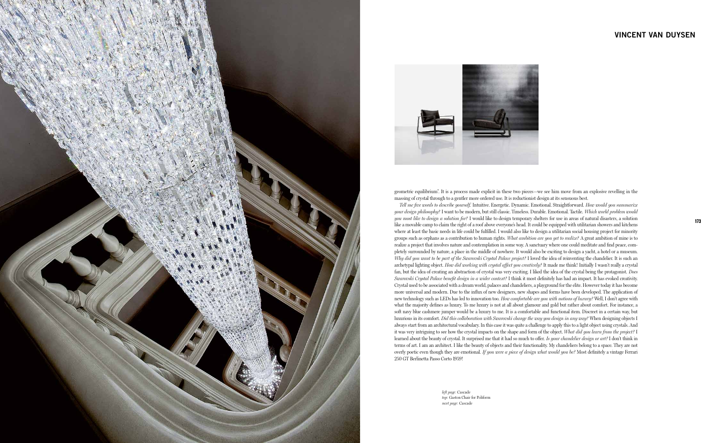# **VINCENT VAN DUYSEN**





geometric equilibrium". It is a process made explicit in these two pieces—we see him move from an explosive revelling in the massing of crystal through to a gentler more ordered use. It is reductionist design at its sensuous best. *Tell me five words to describe yourself.* Intuitive. Energetic. Dynamic. Emotional. Straightforward. *How would you summarize your design philosophy?* I want to be modern, but still classic. Timeless. Durable. Emotional. Tactile. *Which world problem would you most like to design a solution for?* I would like to design temporary shelters for use in areas of natural disasters, a solution where at least the basic needs in life could be fulfilled. I would also like to design a utilitarian social housing project for minority groups such as orphans as a contribution to human rights. *What ambition are you yet to realize?* A great ambition of mine is to realize a project that involves nature and contemplation in some way. A sanctuary where one could meditate and find peace, completely surrounded by nature, a place in the middle of nowhere. It would also be exciting to design a yacht, a hotel or a museum. *Why did you want to be part of the Swarovski Crystal Palace project?* I loved the idea of reinventing the chandelier. It is such an archetypal lighting object. *How did working with crystal affect you creatively?* It made me think! Initially I wasn't really a crystal fan, but the idea of creating an abstraction of crystal was very exciting. I liked the idea of the crystal being the protagonist. *Does Swarovski Crystal Palace benefit design in a wider context?* I think it most definitely has had an impact. It has evoked creativity. Crystal used to be associated with a dream world, palaces and chandeliers, a playground for the elite. However today it has become more universal and modern. Due to the influx of new designers, new shapes and forms have been developed. The application of new technology such as LEDs has led to innovation too. *How comfortable are you with notions of luxury?* Well, I don't agree with what the majority defines as luxury. To me luxury is not at all about glamour and gold but rather about comfort. For instance, a soft navy blue cashmere jumper would be a luxury to me. It is a comfortable and functional item. Discreet in a certain way, but luxurious in its comfort. *Did this collaboration with Swarovski change the way you design in any way?* When designing objects I always start from an architectural vocabulary. In this case it was quite a challenge to apply this to a light object using crystals. And it was very intriguing to see how the crystal impacts on the shape and form of the object. *What did you learn from the project?* I learned about the beauty of crystal. It surprised me that it had so much to offer. *Is your chandelier design or art?* I don't think in terms of art. I am an architect. I like the beauty of objects and their functionality. My chandeliers belong to a space. They are not overly poetic even though they are emotional. *If you were a piece of design what would you be?* Most definitely a vintage Ferrari 250 GT Berlinetta Passo Corto 1959!

> *left page:* Cascade *top:* Gaston Chair for Poliform *next page:* Cascade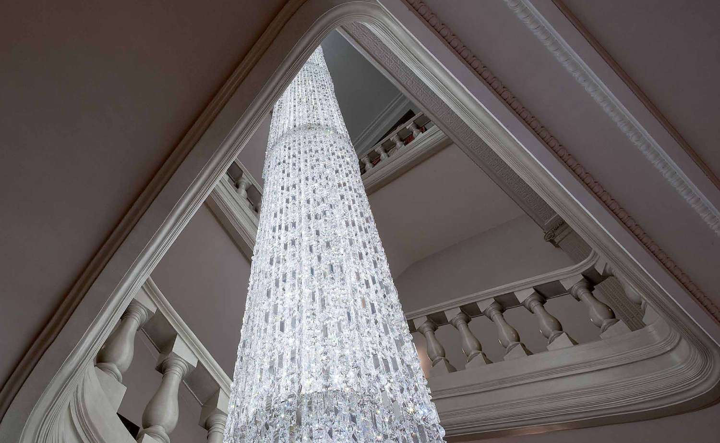